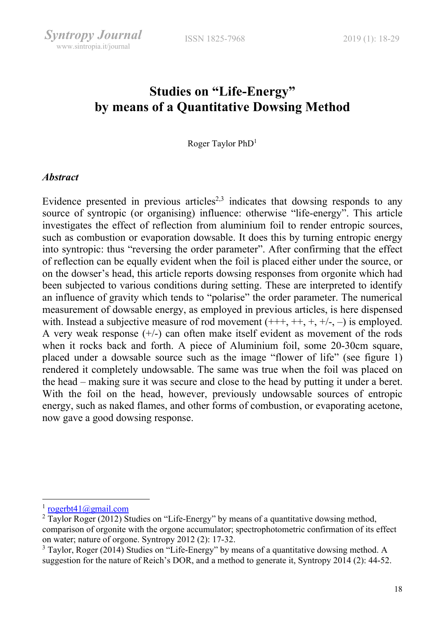# Studies on "Life-Energy" by means of a Quantitative Dowsing Method

Roger Taylor PhD<sup>1</sup>

#### **Abstract**

Syntropy Journal www.sintropia.it/journal

Evidence presented in previous articles<sup>2,3</sup> indicates that dowsing responds to any source of syntropic (or organising) influence: otherwise "life-energy". This article investigates the effect of reflection from aluminium foil to render entropic sources, such as combustion or evaporation dowsable. It does this by turning entropic energy into syntropic: thus "reversing the order parameter". After confirming that the effect of reflection can be equally evident when the foil is placed either under the source, or on the dowser's head, this article reports dowsing responses from orgonite which had been subjected to various conditions during setting. These are interpreted to identify an influence of gravity which tends to "polarise" the order parameter. The numerical measurement of dowsable energy, as employed in previous articles, is here dispensed with. Instead a subjective measure of rod movement  $(+++, ++, +, +), -)$  is employed. A very weak response  $(+/-)$  can often make itself evident as movement of the rods when it rocks back and forth. A piece of Aluminium foil, some 20-30cm square, placed under a dowsable source such as the image "flower of life" (see figure 1) rendered it completely undowsable. The same was true when the foil was placed on the head – making sure it was secure and close to the head by putting it under a beret. With the foil on the head, however, previously undowsable sources of entropic energy, such as naked flames, and other forms of combustion, or evaporating acetone, now gave a good dowsing response.

<sup>&</sup>lt;sup>1</sup> rogerbt41@gmail.com

 $2$  Taylor Roger (2012) Studies on "Life-Energy" by means of a quantitative dowsing method, comparison of orgonite with the orgone accumulator; spectrophotometric confirmation of its effect on water; nature of orgone. Syntropy 2012 (2): 17-32.

 $3$  Taylor, Roger (2014) Studies on "Life-Energy" by means of a quantitative dowsing method. A suggestion for the nature of Reich's DOR, and a method to generate it, Syntropy 2014 (2): 44-52.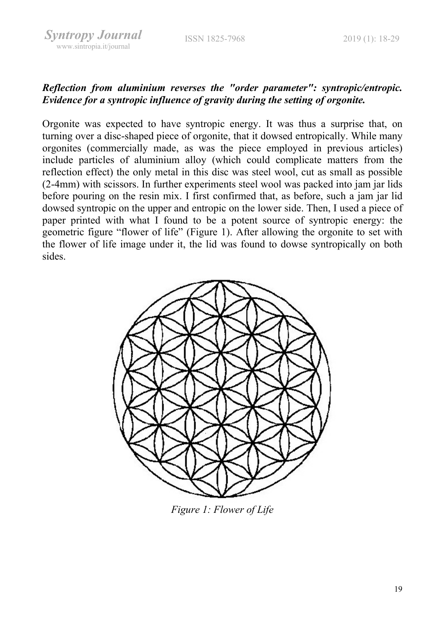# Reflection from aluminium reverses the "order parameter": syntropic/entropic. Evidence for a syntropic influence of gravity during the setting of orgonite.

Orgonite was expected to have syntropic energy. It was thus a surprise that, on turning over a disc-shaped piece of orgonite, that it dowsed entropically. While many orgonites (commercially made, as was the piece employed in previous articles) include particles of aluminium alloy (which could complicate matters from the reflection effect) the only metal in this disc was steel wool, cut as small as possible (2-4mm) with scissors. In further experiments steel wool was packed into jam jar lids before pouring on the resin mix. I first confirmed that, as before, such a jam jar lid dowsed syntropic on the upper and entropic on the lower side. Then, I used a piece of paper printed with what I found to be a potent source of syntropic energy: the geometric figure "flower of life" (Figure 1). After allowing the orgonite to set with the flower of life image under it, the lid was found to dowse syntropically on both sides.



Figure 1: Flower of Life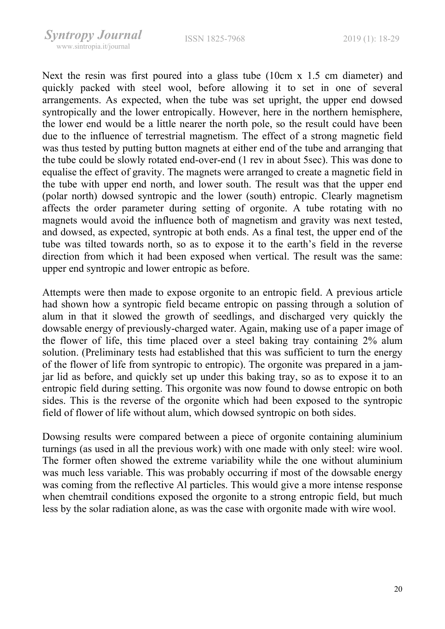Next the resin was first poured into a glass tube (10cm x 1.5 cm diameter) and quickly packed with steel wool, before allowing it to set in one of several arrangements. As expected, when the tube was set upright, the upper end dowsed syntropically and the lower entropically. However, here in the northern hemisphere, the lower end would be a little nearer the north pole, so the result could have been due to the influence of terrestrial magnetism. The effect of a strong magnetic field was thus tested by putting button magnets at either end of the tube and arranging that the tube could be slowly rotated end-over-end (1 rev in about 5sec). This was done to equalise the effect of gravity. The magnets were arranged to create a magnetic field in the tube with upper end north, and lower south. The result was that the upper end (polar north) dowsed syntropic and the lower (south) entropic. Clearly magnetism affects the order parameter during setting of orgonite. A tube rotating with no magnets would avoid the influence both of magnetism and gravity was next tested, and dowsed, as expected, syntropic at both ends. As a final test, the upper end of the tube was tilted towards north, so as to expose it to the earth's field in the reverse direction from which it had been exposed when vertical. The result was the same: upper end syntropic and lower entropic as before.

Attempts were then made to expose orgonite to an entropic field. A previous article had shown how a syntropic field became entropic on passing through a solution of alum in that it slowed the growth of seedlings, and discharged very quickly the dowsable energy of previously-charged water. Again, making use of a paper image of the flower of life, this time placed over a steel baking tray containing 2% alum solution. (Preliminary tests had established that this was sufficient to turn the energy of the flower of life from syntropic to entropic). The orgonite was prepared in a jamjar lid as before, and quickly set up under this baking tray, so as to expose it to an entropic field during setting. This orgonite was now found to dowse entropic on both sides. This is the reverse of the orgonite which had been exposed to the syntropic field of flower of life without alum, which dowsed syntropic on both sides.

Dowsing results were compared between a piece of orgonite containing aluminium turnings (as used in all the previous work) with one made with only steel: wire wool. The former often showed the extreme variability while the one without aluminium was much less variable. This was probably occurring if most of the dowsable energy was coming from the reflective Al particles. This would give a more intense response when chemtrail conditions exposed the orgonite to a strong entropic field, but much less by the solar radiation alone, as was the case with orgonite made with wire wool.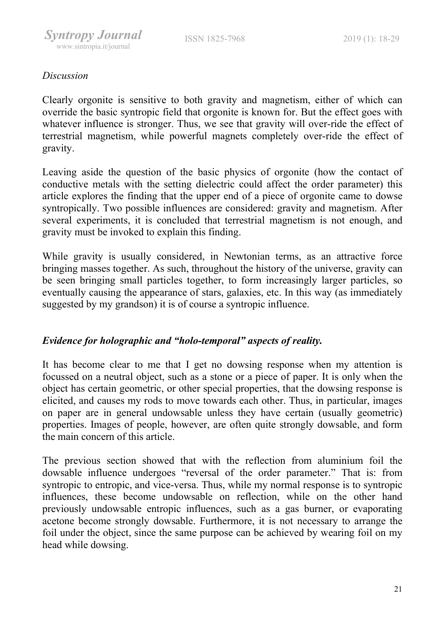# Discussion

Clearly orgonite is sensitive to both gravity and magnetism, either of which can override the basic syntropic field that orgonite is known for. But the effect goes with whatever influence is stronger. Thus, we see that gravity will over-ride the effect of terrestrial magnetism, while powerful magnets completely over-ride the effect of gravity.

Leaving aside the question of the basic physics of orgonite (how the contact of conductive metals with the setting dielectric could affect the order parameter) this article explores the finding that the upper end of a piece of orgonite came to dowse syntropically. Two possible influences are considered: gravity and magnetism. After several experiments, it is concluded that terrestrial magnetism is not enough, and gravity must be invoked to explain this finding.

While gravity is usually considered, in Newtonian terms, as an attractive force bringing masses together. As such, throughout the history of the universe, gravity can be seen bringing small particles together, to form increasingly larger particles, so eventually causing the appearance of stars, galaxies, etc. In this way (as immediately suggested by my grandson) it is of course a syntropic influence.

#### Evidence for holographic and "holo-temporal" aspects of reality.

It has become clear to me that I get no dowsing response when my attention is focussed on a neutral object, such as a stone or a piece of paper. It is only when the object has certain geometric, or other special properties, that the dowsing response is elicited, and causes my rods to move towards each other. Thus, in particular, images on paper are in general undowsable unless they have certain (usually geometric) properties. Images of people, however, are often quite strongly dowsable, and form the main concern of this article.

The previous section showed that with the reflection from aluminium foil the dowsable influence undergoes "reversal of the order parameter." That is: from syntropic to entropic, and vice-versa. Thus, while my normal response is to syntropic influences, these become undowsable on reflection, while on the other hand previously undowsable entropic influences, such as a gas burner, or evaporating acetone become strongly dowsable. Furthermore, it is not necessary to arrange the foil under the object, since the same purpose can be achieved by wearing foil on my head while dowsing.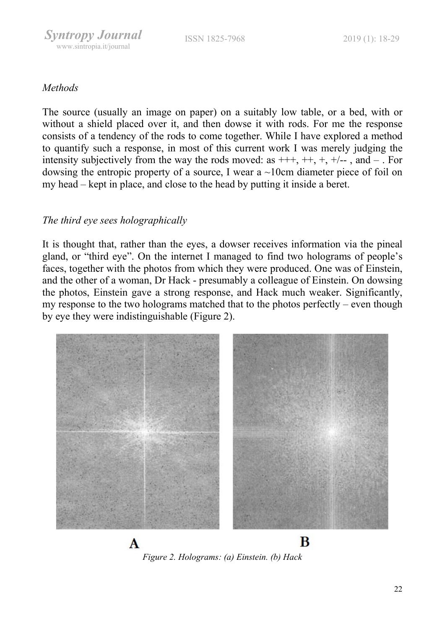#### **Methods**

The source (usually an image on paper) on a suitably low table, or a bed, with or without a shield placed over it, and then dowse it with rods. For me the response consists of a tendency of the rods to come together. While I have explored a method to quantify such a response, in most of this current work I was merely judging the intensity subjectively from the way the rods moved: as  $++, +, +, +, -$ , and  $-$ . For dowsing the entropic property of a source, I wear a ~10cm diameter piece of foil on my head – kept in place, and close to the head by putting it inside a beret.

# The third eye sees holographically

It is thought that, rather than the eyes, a dowser receives information via the pineal gland, or "third eye". On the internet I managed to find two holograms of people's faces, together with the photos from which they were produced. One was of Einstein, and the other of a woman, Dr Hack - presumably a colleague of Einstein. On dowsing the photos, Einstein gave a strong response, and Hack much weaker. Significantly, my response to the two holograms matched that to the photos perfectly – even though by eye they were indistinguishable (Figure 2).



Figure 2. Holograms: (a) Einstein. (b) Hack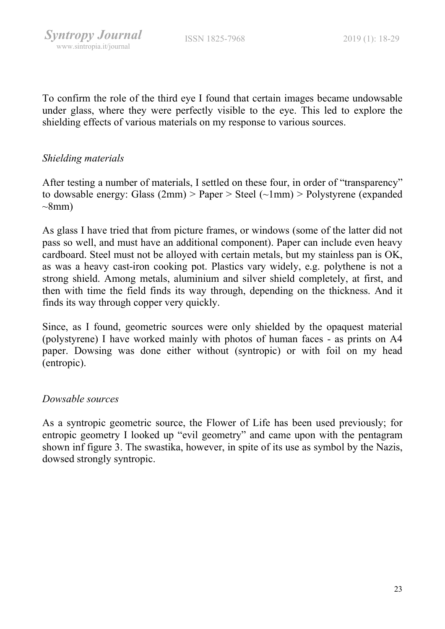To confirm the role of the third eye I found that certain images became undowsable under glass, where they were perfectly visible to the eye. This led to explore the shielding effects of various materials on my response to various sources.

## Shielding materials

After testing a number of materials, I settled on these four, in order of "transparency" to dowsable energy: Glass  $(2mm)$  > Paper > Steel  $(\sim 1mm)$  > Polystyrene (expanded  $\sim$ 8mm)

As glass I have tried that from picture frames, or windows (some of the latter did not pass so well, and must have an additional component). Paper can include even heavy cardboard. Steel must not be alloyed with certain metals, but my stainless pan is OK, as was a heavy cast-iron cooking pot. Plastics vary widely, e.g. polythene is not a strong shield. Among metals, aluminium and silver shield completely, at first, and then with time the field finds its way through, depending on the thickness. And it finds its way through copper very quickly.

Since, as I found, geometric sources were only shielded by the opaquest material (polystyrene) I have worked mainly with photos of human faces - as prints on A4 paper. Dowsing was done either without (syntropic) or with foil on my head (entropic).

#### Dowsable sources

As a syntropic geometric source, the Flower of Life has been used previously; for entropic geometry I looked up "evil geometry" and came upon with the pentagram shown inf figure 3. The swastika, however, in spite of its use as symbol by the Nazis, dowsed strongly syntropic.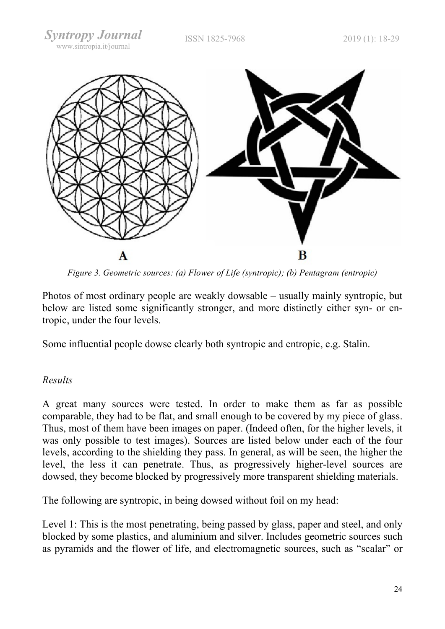

Figure 3. Geometric sources: (a) Flower of Life (syntropic); (b) Pentagram (entropic)

Photos of most ordinary people are weakly dowsable – usually mainly syntropic, but below are listed some significantly stronger, and more distinctly either syn- or entropic, under the four levels.

Some influential people dowse clearly both syntropic and entropic, e.g. Stalin.

# Results

A great many sources were tested. In order to make them as far as possible comparable, they had to be flat, and small enough to be covered by my piece of glass. Thus, most of them have been images on paper. (Indeed often, for the higher levels, it was only possible to test images). Sources are listed below under each of the four levels, according to the shielding they pass. In general, as will be seen, the higher the level, the less it can penetrate. Thus, as progressively higher-level sources are dowsed, they become blocked by progressively more transparent shielding materials.

The following are syntropic, in being dowsed without foil on my head:

Level 1: This is the most penetrating, being passed by glass, paper and steel, and only blocked by some plastics, and aluminium and silver. Includes geometric sources such as pyramids and the flower of life, and electromagnetic sources, such as "scalar" or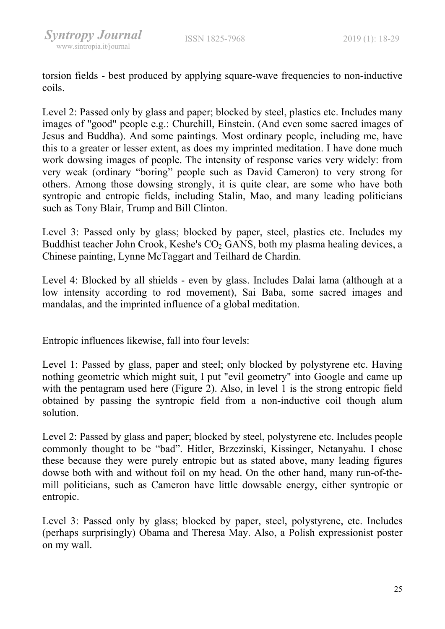torsion fields - best produced by applying square-wave frequencies to non-inductive coils.

Level 2: Passed only by glass and paper; blocked by steel, plastics etc. Includes many images of "good" people e.g.: Churchill, Einstein. (And even some sacred images of Jesus and Buddha). And some paintings. Most ordinary people, including me, have this to a greater or lesser extent, as does my imprinted meditation. I have done much work dowsing images of people. The intensity of response varies very widely: from very weak (ordinary "boring" people such as David Cameron) to very strong for others. Among those dowsing strongly, it is quite clear, are some who have both syntropic and entropic fields, including Stalin, Mao, and many leading politicians such as Tony Blair, Trump and Bill Clinton.

Level 3: Passed only by glass; blocked by paper, steel, plastics etc. Includes my Buddhist teacher John Crook, Keshe's  $CO<sub>2</sub>$  GANS, both my plasma healing devices, a Chinese painting, Lynne McTaggart and Teilhard de Chardin.

Level 4: Blocked by all shields - even by glass. Includes Dalai lama (although at a low intensity according to rod movement), Sai Baba, some sacred images and mandalas, and the imprinted influence of a global meditation.

Entropic influences likewise, fall into four levels:

Level 1: Passed by glass, paper and steel; only blocked by polystyrene etc. Having nothing geometric which might suit, I put "evil geometry" into Google and came up with the pentagram used here (Figure 2). Also, in level 1 is the strong entropic field obtained by passing the syntropic field from a non-inductive coil though alum solution.

Level 2: Passed by glass and paper; blocked by steel, polystyrene etc. Includes people commonly thought to be "bad". Hitler, Brzezinski, Kissinger, Netanyahu. I chose these because they were purely entropic but as stated above, many leading figures dowse both with and without foil on my head. On the other hand, many run-of-themill politicians, such as Cameron have little dowsable energy, either syntropic or entropic.

Level 3: Passed only by glass; blocked by paper, steel, polystyrene, etc. Includes (perhaps surprisingly) Obama and Theresa May. Also, a Polish expressionist poster on my wall.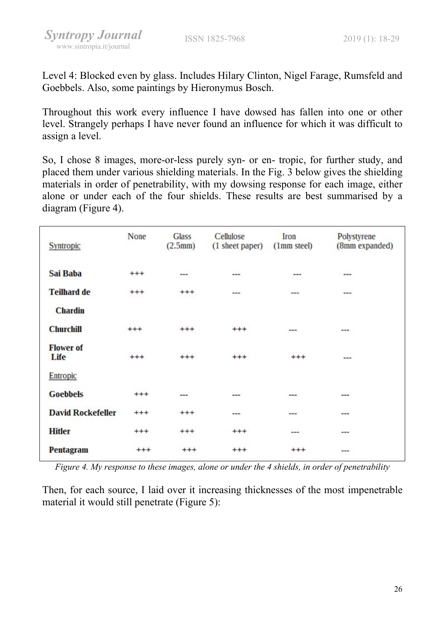Level 4: Blocked even by glass. Includes Hilary Clinton, Nigel Farage, Rumsfeld and Goebbels. Also, some paintings by Hieronymus Bosch.

Throughout this work every influence I have dowsed has fallen into one or other level. Strangely perhaps I have never found an influence for which it was difficult to assign a level.

So, I chose 8 images, more-or-less purely syn- or en- tropic, for further study, and placed them under various shielding materials. In the Fig. 3 below gives the shielding materials in order of penetrability, with my dowsing response for each image, either alone or under each of the four shields. These results are best summarised by a diagram (Figure 4).

| Syntropic                | None     | Glass<br>(2.5mm) | Cellulose<br>(1 sheet paper) | Iron<br>(1 <sub>mm</sub> steel) | Polystyrene<br>(8mm expanded) |
|--------------------------|----------|------------------|------------------------------|---------------------------------|-------------------------------|
| Sai Baba                 | $^{+++}$ | ---              | ---                          | ---                             | ---                           |
| <b>Teilhard de</b>       | $^{+++}$ | $^{+++}$         | ---                          | ---                             | ---                           |
| <b>Chardin</b>           |          |                  |                              |                                 |                               |
| <b>Churchill</b>         | $^{++}$  | $^{+++}$         | $^{+++}$                     | ---                             | ---                           |
| <b>Flower of</b><br>Life | $^{+++}$ | $^{+++}$         | $^{+++}$                     | $^{+++}$                        | ---                           |
| Entropic                 |          |                  |                              |                                 |                               |
| <b>Goebbels</b>          | $^{+++}$ | ---              | ---                          | ---                             | ---                           |
| <b>David Rockefeller</b> | $^{+++}$ | $^{+++}$         | ---                          | ---                             | ---                           |
| <b>Hitler</b>            | $^{+++}$ | $^{+++}$         | $^{+ + +}$                   | ---                             | ---                           |
| Pentagram                | $^{+++}$ | $^{+++}$         | $^{+ + +}$                   | $^{+++}$                        | ---                           |

Figure 4. My response to these images, alone or under the 4 shields, in order of penetrability

Then, for each source, I laid over it increasing thicknesses of the most impenetrable material it would still penetrate (Figure 5):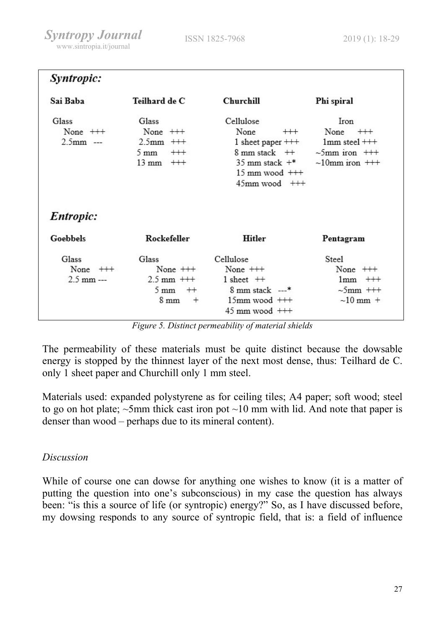| Syntropic:                          |                                                                                           |                                                                                                                                                                       |                                                                                         |
|-------------------------------------|-------------------------------------------------------------------------------------------|-----------------------------------------------------------------------------------------------------------------------------------------------------------------------|-----------------------------------------------------------------------------------------|
| Sai Baba                            | Teilhard de C                                                                             | Churchill                                                                                                                                                             | Phi spiral                                                                              |
| Glass<br>None $++$<br>$2.5$ mm ---  | Glass<br>None $++$<br>$2.5$ mm $++$<br>$^{+++}$<br>$5 \text{ mm}$<br>$13 \text{ mm}$ $++$ | Cellulose<br>None<br>$^{+++}$<br>1 sheet paper $++$<br>$8 \text{ mm stack} + +$<br>$35 \text{ mm stack } +\text{*}$<br>$15 \text{ mm}$ wood $++$<br>$45$ mm wood $++$ | Iron<br>None $++$<br>$1mm$ steel $++$<br>$\sim$ 5mm iron $++$<br>$\sim 10$ mm iron $++$ |
| Entropic:                           |                                                                                           |                                                                                                                                                                       |                                                                                         |
| Goebbels                            | Rockefeller                                                                               | Hitler                                                                                                                                                                | Pentagram                                                                               |
| Glass<br>None $++$<br>$2.5$ mm $--$ | Glass<br>None $++$<br>$2.5 \text{ mm}$ +++<br>$5 \text{ mm}$<br>$++$<br>8 mm<br>$^{+}$    | Cellulose<br>None $++$<br>$1$ sheet $++$<br>$8 \text{ mm stack}$ ---*<br>$15$ mm wood $++$<br>$45 \text{ mm}$ wood $++$                                               | <b>Steel</b><br>None $++$<br>$1mm$ $++$<br>$\sim$ 5mm $++$<br>$\sim 10$ mm $+$          |

Figure 5. Distinct permeability of material shields

The permeability of these materials must be quite distinct because the dowsable energy is stopped by the thinnest layer of the next most dense, thus: Teilhard de C. only 1 sheet paper and Churchill only 1 mm steel.

Materials used: expanded polystyrene as for ceiling tiles; A4 paper; soft wood; steel to go on hot plate;  $\sim$ 5mm thick cast iron pot  $\sim$ 10 mm with lid. And note that paper is denser than wood – perhaps due to its mineral content).

# Discussion

While of course one can dowse for anything one wishes to know (it is a matter of putting the question into one's subconscious) in my case the question has always been: "is this a source of life (or syntropic) energy?" So, as I have discussed before, my dowsing responds to any source of syntropic field, that is: a field of influence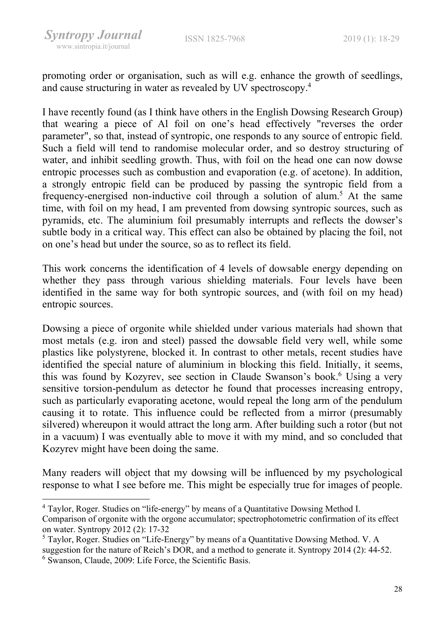promoting order or organisation, such as will e.g. enhance the growth of seedlings, and cause structuring in water as revealed by UV spectroscopy.<sup>4</sup>

I have recently found (as I think have others in the English Dowsing Research Group) that wearing a piece of Al foil on one's head effectively "reverses the order parameter", so that, instead of syntropic, one responds to any source of entropic field. Such a field will tend to randomise molecular order, and so destroy structuring of water, and inhibit seedling growth. Thus, with foil on the head one can now dowse entropic processes such as combustion and evaporation (e.g. of acetone). In addition, a strongly entropic field can be produced by passing the syntropic field from a frequency-energised non-inductive coil through a solution of alum.<sup>5</sup> At the same time, with foil on my head, I am prevented from dowsing syntropic sources, such as pyramids, etc. The aluminium foil presumably interrupts and reflects the dowser's subtle body in a critical way. This effect can also be obtained by placing the foil, not on one's head but under the source, so as to reflect its field.

This work concerns the identification of 4 levels of dowsable energy depending on whether they pass through various shielding materials. Four levels have been identified in the same way for both syntropic sources, and (with foil on my head) entropic sources.

Dowsing a piece of orgonite while shielded under various materials had shown that most metals (e.g. iron and steel) passed the dowsable field very well, while some plastics like polystyrene, blocked it. In contrast to other metals, recent studies have identified the special nature of aluminium in blocking this field. Initially, it seems, this was found by Kozyrev, see section in Claude Swanson's book.<sup>6</sup> Using a very sensitive torsion-pendulum as detector he found that processes increasing entropy, such as particularly evaporating acetone, would repeal the long arm of the pendulum causing it to rotate. This influence could be reflected from a mirror (presumably silvered) whereupon it would attract the long arm. After building such a rotor (but not in a vacuum) I was eventually able to move it with my mind, and so concluded that Kozyrev might have been doing the same.

Many readers will object that my dowsing will be influenced by my psychological response to what I see before me. This might be especially true for images of people.

<sup>&</sup>lt;sup>4</sup> Taylor, Roger. Studies on "life-energy" by means of a Quantitative Dowsing Method I. Comparison of orgonite with the orgone accumulator; spectrophotometric confirmation of its effect on water. Syntropy 2012 (2): 17-32

<sup>&</sup>lt;sup>5</sup> Taylor, Roger. Studies on "Life-Energy" by means of a Quantitative Dowsing Method. V. A suggestion for the nature of Reich's DOR, and a method to generate it. Syntropy 2014 (2): 44-52.

<sup>6</sup> Swanson, Claude, 2009: Life Force, the Scientific Basis.